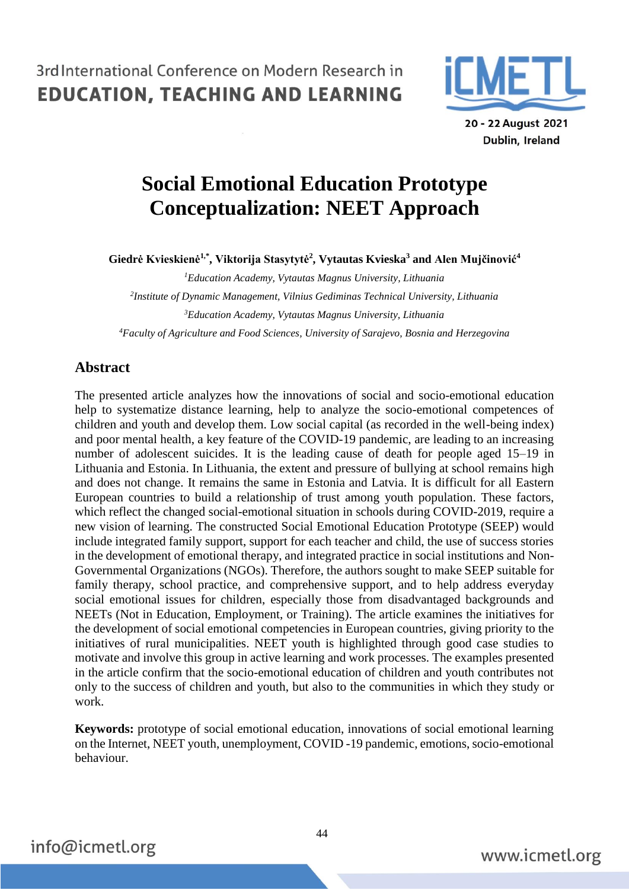

Dublin, Ireland

# **Social Emotional Education Prototype Conceptualization: NEET Approach**

**Giedrė Kvieskienė1,\* , Viktorija Stasytytė<sup>2</sup> , Vytautas Kvieska<sup>3</sup> and Alen Mujčinović<sup>4</sup>**

*Education Academy, Vytautas Magnus University, Lithuania Institute of Dynamic Management, Vilnius Gediminas Technical University, Lithuania Education Academy, Vytautas Magnus University, Lithuania Faculty of Agriculture and Food Sciences, University of Sarajevo, Bosnia and Herzegovina*

### **Abstract**

The presented article analyzes how the innovations of social and socio-emotional education help to systematize distance learning, help to analyze the socio-emotional competences of children and youth and develop them. Low social capital (as recorded in the well-being index) and poor mental health, a key feature of the COVID-19 pandemic, are leading to an increasing number of adolescent suicides. It is the leading cause of death for people aged 15–19 in Lithuania and Estonia. In Lithuania, the extent and pressure of bullying at school remains high and does not change. It remains the same in Estonia and Latvia. It is difficult for all Eastern European countries to build a relationship of trust among youth population. These factors, which reflect the changed social-emotional situation in schools during COVID-2019, require a new vision of learning. The constructed Social Emotional Education Prototype (SEEP) would include integrated family support, support for each teacher and child, the use of success stories in the development of emotional therapy, and integrated practice in social institutions and Non-Governmental Organizations (NGOs). Therefore, the authors sought to make SEEP suitable for family therapy, school practice, and comprehensive support, and to help address everyday social emotional issues for children, especially those from disadvantaged backgrounds and NEETs (Not in Education, Employment, or Training). The article examines the initiatives for the development of social emotional competencies in European countries, giving priority to the initiatives of rural municipalities. NEET youth is highlighted through good case studies to motivate and involve this group in active learning and work processes. The examples presented in the article confirm that the socio-emotional education of children and youth contributes not only to the success of children and youth, but also to the communities in which they study or work.

**Keywords:** prototype of social emotional education, innovations of social emotional learning on the Internet, NEET youth, unemployment, COVID -19 pandemic, emotions, socio-emotional behaviour.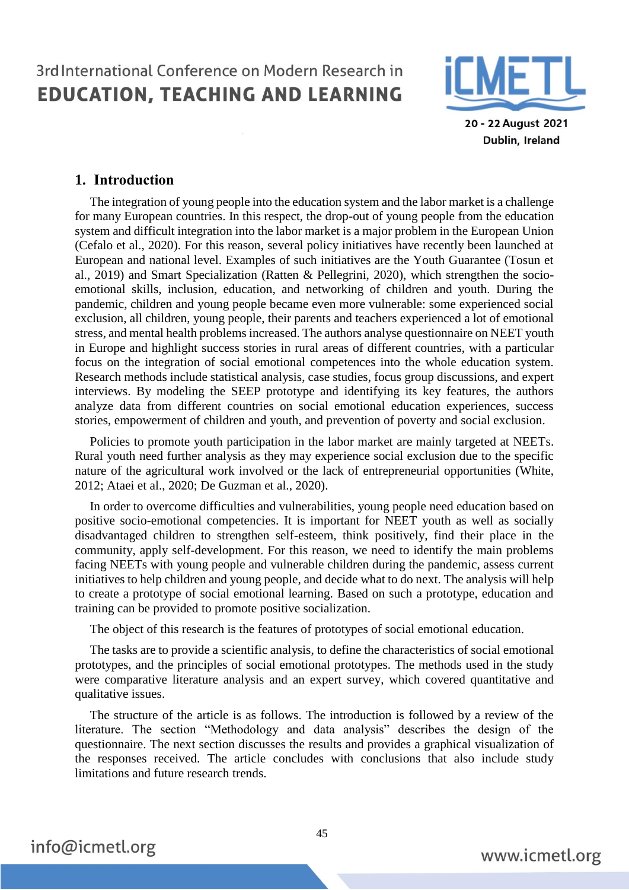

20 - 22 August 2021 Dublin, Ireland

#### **1. Introduction**

The integration of young people into the education system and the labor market is a challenge for many European countries. In this respect, the drop-out of young people from the education system and difficult integration into the labor market is a major problem in the European Union (Cefalo et al., 2020). For this reason, several policy initiatives have recently been launched at European and national level. Examples of such initiatives are the Youth Guarantee (Tosun et al., 2019) and Smart Specialization (Ratten & Pellegrini, 2020), which strengthen the socioemotional skills, inclusion, education, and networking of children and youth. During the pandemic, children and young people became even more vulnerable: some experienced social exclusion, all children, young people, their parents and teachers experienced a lot of emotional stress, and mental health problems increased. The authors analyse questionnaire on NEET youth in Europe and highlight success stories in rural areas of different countries, with a particular focus on the integration of social emotional competences into the whole education system. Research methods include statistical analysis, case studies, focus group discussions, and expert interviews. By modeling the SEEP prototype and identifying its key features, the authors analyze data from different countries on social emotional education experiences, success stories, empowerment of children and youth, and prevention of poverty and social exclusion.

Policies to promote youth participation in the labor market are mainly targeted at NEETs. Rural youth need further analysis as they may experience social exclusion due to the specific nature of the agricultural work involved or the lack of entrepreneurial opportunities (White, 2012; Ataei et al., 2020; De Guzman et al., 2020).

In order to overcome difficulties and vulnerabilities, young people need education based on positive socio-emotional competencies. It is important for NEET youth as well as socially disadvantaged children to strengthen self-esteem, think positively, find their place in the community, apply self-development. For this reason, we need to identify the main problems facing NEETs with young people and vulnerable children during the pandemic, assess current initiatives to help children and young people, and decide what to do next. The analysis will help to create a prototype of social emotional learning. Based on such a prototype, education and training can be provided to promote positive socialization.

The object of this research is the features of prototypes of social emotional education.

The tasks are to provide a scientific analysis, to define the characteristics of social emotional prototypes, and the principles of social emotional prototypes. The methods used in the study were comparative literature analysis and an expert survey, which covered quantitative and qualitative issues.

The structure of the article is as follows. The introduction is followed by a review of the literature. The section "Methodology and data analysis" describes the design of the questionnaire. The next section discusses the results and provides a graphical visualization of the responses received. The article concludes with conclusions that also include study limitations and future research trends.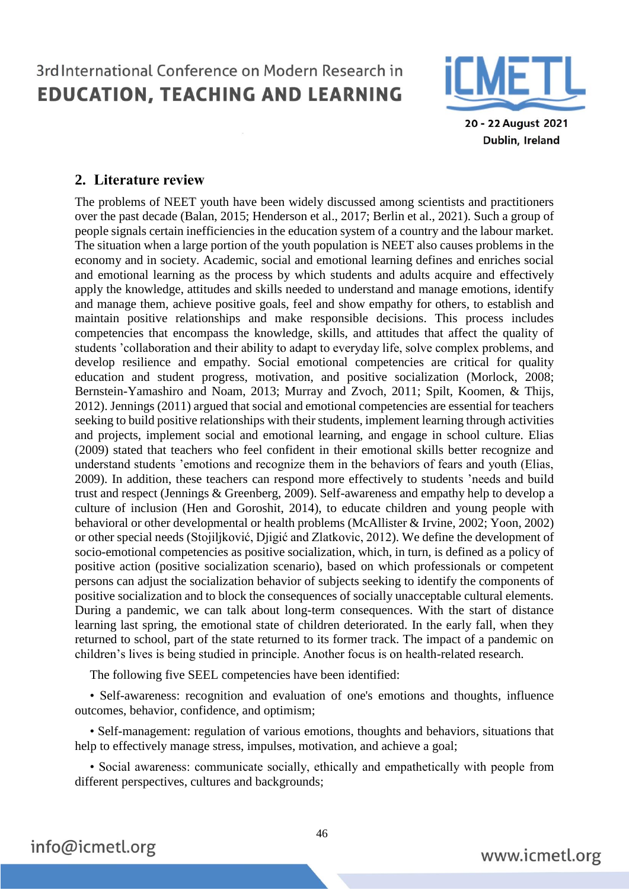

20 - 22 August 2021 Dublin, Ireland

### **2. Literature review**

The problems of NEET youth have been widely discussed among scientists and practitioners over the past decade (Balan, 2015; Henderson et al., 2017; Berlin et al., 2021). Such a group of people signals certain inefficiencies in the education system of a country and the labour market. The situation when a large portion of the youth population is NEET also causes problems in the economy and in society. Academic, social and emotional learning defines and enriches social and emotional learning as the process by which students and adults acquire and effectively apply the knowledge, attitudes and skills needed to understand and manage emotions, identify and manage them, achieve positive goals, feel and show empathy for others, to establish and maintain positive relationships and make responsible decisions. This process includes competencies that encompass the knowledge, skills, and attitudes that affect the quality of students 'collaboration and their ability to adapt to everyday life, solve complex problems, and develop resilience and empathy. Social emotional competencies are critical for quality education and student progress, motivation, and positive socialization (Morlock, 2008; Bernstein-Yamashiro and Noam, 2013; Murray and Zvoch, 2011; Spilt, Koomen, & Thijs, 2012). Jennings (2011) argued that social and emotional competencies are essential for teachers seeking to build positive relationships with their students, implement learning through activities and projects, implement social and emotional learning, and engage in school culture. Elias (2009) stated that teachers who feel confident in their emotional skills better recognize and understand students 'emotions and recognize them in the behaviors of fears and youth (Elias, 2009). In addition, these teachers can respond more effectively to students 'needs and build trust and respect (Jennings & Greenberg, 2009). Self-awareness and empathy help to develop a culture of inclusion (Hen and Goroshit, 2014), to educate children and young people with behavioral or other developmental or health problems (McAllister & Irvine, 2002; Yoon, 2002) or other special needs (Stojiljković, Djigić and Zlatkovic, 2012). We define the development of socio-emotional competencies as positive socialization, which, in turn, is defined as a policy of positive action (positive socialization scenario), based on which professionals or competent persons can adjust the socialization behavior of subjects seeking to identify the components of positive socialization and to block the consequences of socially unacceptable cultural elements. During a pandemic, we can talk about long-term consequences. With the start of distance learning last spring, the emotional state of children deteriorated. In the early fall, when they returned to school, part of the state returned to its former track. The impact of a pandemic on children's lives is being studied in principle. Another focus is on health-related research.

The following five SEEL competencies have been identified:

• Self-awareness: recognition and evaluation of one's emotions and thoughts, influence outcomes, behavior, confidence, and optimism;

• Self-management: regulation of various emotions, thoughts and behaviors, situations that help to effectively manage stress, impulses, motivation, and achieve a goal;

• Social awareness: communicate socially, ethically and empathetically with people from different perspectives, cultures and backgrounds;

46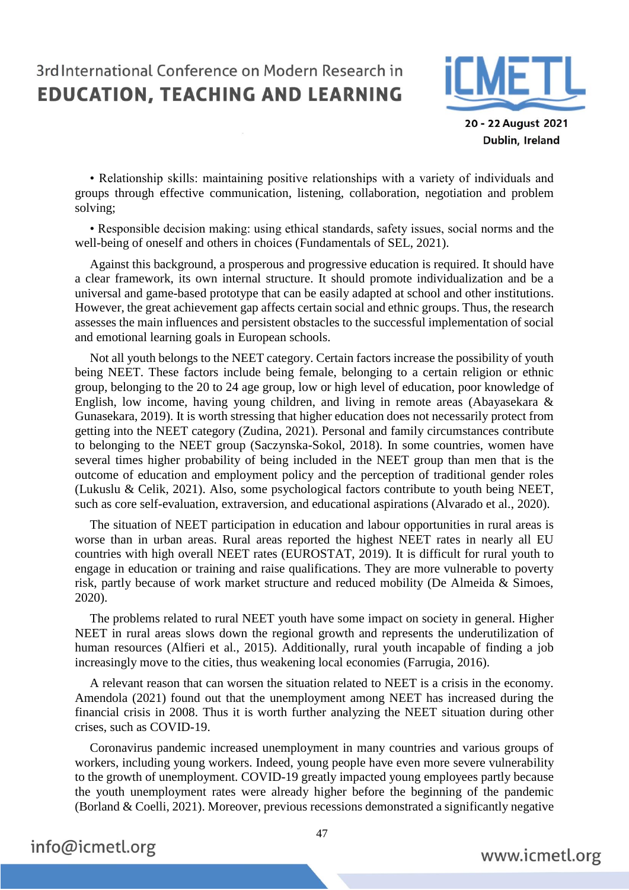

20 - 22 August 2021 Dublin, Ireland

• Relationship skills: maintaining positive relationships with a variety of individuals and groups through effective communication, listening, collaboration, negotiation and problem solving;

• Responsible decision making: using ethical standards, safety issues, social norms and the well-being of oneself and others in choices (Fundamentals of SEL, 2021).

Against this background, a prosperous and progressive education is required. It should have a clear framework, its own internal structure. It should promote individualization and be a universal and game-based prototype that can be easily adapted at school and other institutions. However, the great achievement gap affects certain social and ethnic groups. Thus, the research assesses the main influences and persistent obstacles to the successful implementation of social and emotional learning goals in European schools.

Not all youth belongs to the NEET category. Certain factors increase the possibility of youth being NEET. These factors include being female, belonging to a certain religion or ethnic group, belonging to the 20 to 24 age group, low or high level of education, poor knowledge of English, low income, having young children, and living in remote areas (Abayasekara & Gunasekara, 2019). It is worth stressing that higher education does not necessarily protect from getting into the NEET category (Zudina, 2021). Personal and family circumstances contribute to belonging to the NEET group (Saczynska-Sokol, 2018). In some countries, women have several times higher probability of being included in the NEET group than men that is the outcome of education and employment policy and the perception of traditional gender roles (Lukuslu & Celik, 2021). Also, some psychological factors contribute to youth being NEET, such as core self-evaluation, extraversion, and educational aspirations (Alvarado et al., 2020).

The situation of NEET participation in education and labour opportunities in rural areas is worse than in urban areas. Rural areas reported the highest NEET rates in nearly all EU countries with high overall NEET rates (EUROSTAT, 2019). It is difficult for rural youth to engage in education or training and raise qualifications. They are more vulnerable to poverty risk, partly because of work market structure and reduced mobility (De Almeida & Simoes, 2020).

The problems related to rural NEET youth have some impact on society in general. Higher NEET in rural areas slows down the regional growth and represents the underutilization of human resources (Alfieri et al., 2015). Additionally, rural youth incapable of finding a job increasingly move to the cities, thus weakening local economies (Farrugia, 2016).

A relevant reason that can worsen the situation related to NEET is a crisis in the economy. Amendola (2021) found out that the unemployment among NEET has increased during the financial crisis in 2008. Thus it is worth further analyzing the NEET situation during other crises, such as COVID-19.

Coronavirus pandemic increased unemployment in many countries and various groups of workers, including young workers. Indeed, young people have even more severe vulnerability to the growth of unemployment. COVID-19 greatly impacted young employees partly because the youth unemployment rates were already higher before the beginning of the pandemic (Borland & Coelli, 2021). Moreover, previous recessions demonstrated a significantly negative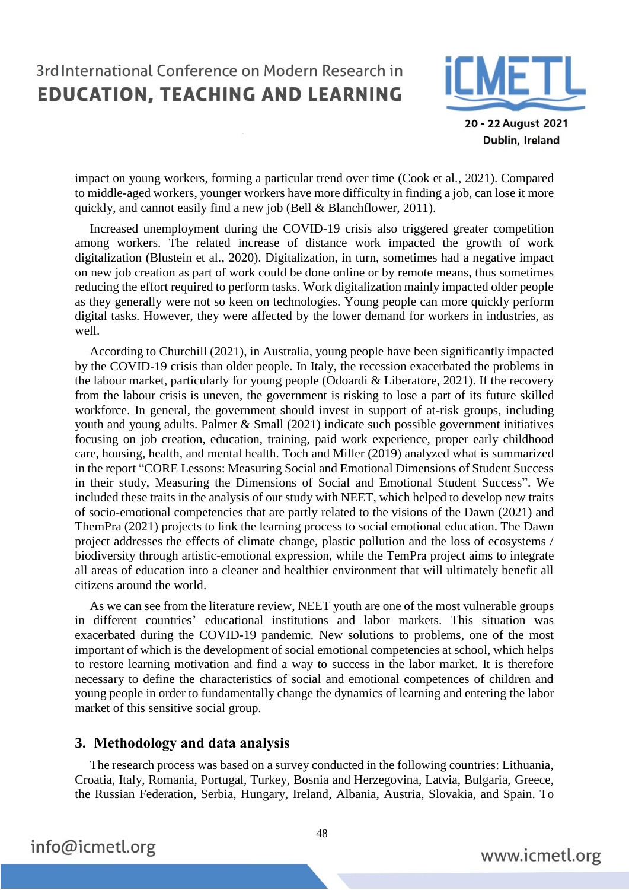

20 - 22 August 2021 Dublin, Ireland

impact on young workers, forming a particular trend over time (Cook et al., 2021). Compared to middle-aged workers, younger workers have more difficulty in finding a job, can lose it more quickly, and cannot easily find a new job (Bell & Blanchflower, 2011).

Increased unemployment during the COVID-19 crisis also triggered greater competition among workers. The related increase of distance work impacted the growth of work digitalization (Blustein et al., 2020). Digitalization, in turn, sometimes had a negative impact on new job creation as part of work could be done online or by remote means, thus sometimes reducing the effort required to perform tasks. Work digitalization mainly impacted older people as they generally were not so keen on technologies. Young people can more quickly perform digital tasks. However, they were affected by the lower demand for workers in industries, as well.

According to Churchill (2021), in Australia, young people have been significantly impacted by the COVID-19 crisis than older people. In Italy, the recession exacerbated the problems in the labour market, particularly for young people (Odoardi & Liberatore, 2021). If the recovery from the labour crisis is uneven, the government is risking to lose a part of its future skilled workforce. In general, the government should invest in support of at-risk groups, including youth and young adults. Palmer & Small (2021) indicate such possible government initiatives focusing on job creation, education, training, paid work experience, proper early childhood care, housing, health, and mental health. Toch and Miller (2019) analyzed what is summarized in the report "CORE Lessons: Measuring Social and Emotional Dimensions of Student Success in their study, Measuring the Dimensions of Social and Emotional Student Success". We included these traits in the analysis of our study with NEET, which helped to develop new traits of socio-emotional competencies that are partly related to the visions of the Dawn (2021) and ThemPra (2021) projects to link the learning process to social emotional education. The Dawn project addresses the effects of climate change, plastic pollution and the loss of ecosystems / biodiversity through artistic-emotional expression, while the TemPra project aims to integrate all areas of education into a cleaner and healthier environment that will ultimately benefit all citizens around the world.

As we can see from the literature review, NEET youth are one of the most vulnerable groups in different countries' educational institutions and labor markets. This situation was exacerbated during the COVID-19 pandemic. New solutions to problems, one of the most important of which is the development of social emotional competencies at school, which helps to restore learning motivation and find a way to success in the labor market. It is therefore necessary to define the characteristics of social and emotional competences of children and young people in order to fundamentally change the dynamics of learning and entering the labor market of this sensitive social group.

#### **3. Methodology and data analysis**

The research process was based on a survey conducted in the following countries: Lithuania, Croatia, Italy, Romania, Portugal, Turkey, Bosnia and Herzegovina, Latvia, Bulgaria, Greece, the Russian Federation, Serbia, Hungary, Ireland, Albania, Austria, Slovakia, and Spain. To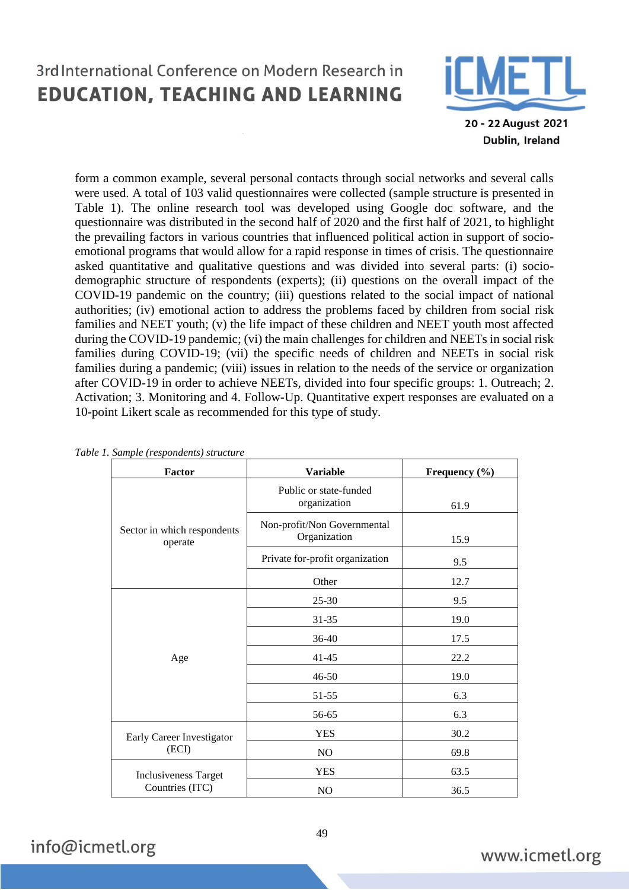

20 - 22 August 2021 Dublin, Ireland

form a common example, several personal contacts through social networks and several calls were used. A total of 103 valid questionnaires were collected (sample structure is presented in Table 1). The online research tool was developed using Google doc software, and the questionnaire was distributed in the second half of 2020 and the first half of 2021, to highlight the prevailing factors in various countries that influenced political action in support of socioemotional programs that would allow for a rapid response in times of crisis. The questionnaire asked quantitative and qualitative questions and was divided into several parts: (i) sociodemographic structure of respondents (experts); (ii) questions on the overall impact of the COVID-19 pandemic on the country; (iii) questions related to the social impact of national authorities; (iv) emotional action to address the problems faced by children from social risk families and NEET youth; (v) the life impact of these children and NEET youth most affected during the COVID-19 pandemic; (vi) the main challenges for children and NEETs in social risk families during COVID-19; (vii) the specific needs of children and NEETs in social risk families during a pandemic; (viii) issues in relation to the needs of the service or organization after COVID-19 in order to achieve NEETs, divided into four specific groups: 1. Outreach; 2. Activation; 3. Monitoring and 4. Follow-Up. Quantitative expert responses are evaluated on a 10-point Likert scale as recommended for this type of study.

| <b>Factor</b>                          | <b>Variable</b>                             | Frequency (%) |
|----------------------------------------|---------------------------------------------|---------------|
|                                        | Public or state-funded<br>organization      | 61.9          |
| Sector in which respondents<br>operate | Non-profit/Non Governmental<br>Organization | 15.9          |
|                                        | Private for-profit organization             | 9.5           |
|                                        | Other                                       | 12.7          |
|                                        | $25 - 30$                                   | 9.5           |
|                                        | $31 - 35$                                   | 19.0          |
|                                        | $36-40$                                     | 17.5          |
| Age                                    | $41 - 45$                                   | 22.2          |
|                                        | 46-50                                       | 19.0          |
|                                        | 51-55                                       | 6.3           |
|                                        | 56-65                                       | 6.3           |
| Early Career Investigator              | <b>YES</b>                                  | 30.2          |
| (ECI)                                  | N <sub>O</sub>                              | 69.8          |
| <b>Inclusiveness Target</b>            | <b>YES</b>                                  | 63.5          |
| Countries (ITC)                        | N <sub>O</sub>                              | 36.5          |

|  |  | Table 1. Sample (respondents) structure |  |
|--|--|-----------------------------------------|--|

info@icmetl.org

49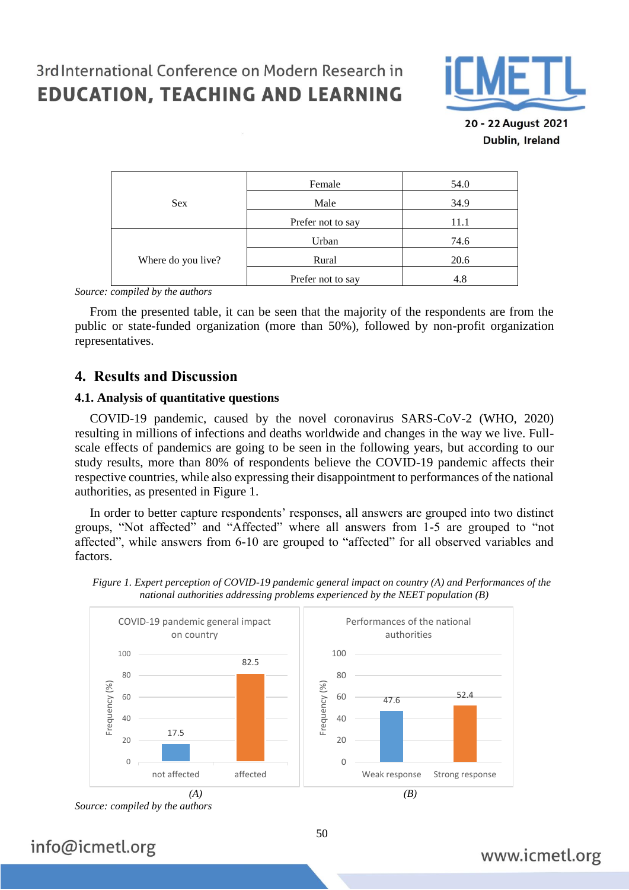

20 - 22 August 2021 Dublin, Ireland

|                    | Female            | 54.0 |
|--------------------|-------------------|------|
| <b>Sex</b>         | Male              | 34.9 |
|                    | Prefer not to say | 11.1 |
|                    | Urban             | 74.6 |
| Where do you live? | Rural             | 20.6 |
|                    | Prefer not to say | 4.8  |

*Source: compiled by the authors*

From the presented table, it can be seen that the majority of the respondents are from the public or state-funded organization (more than 50%), followed by non-profit organization representatives.

#### **4. Results and Discussion**

#### **4.1. Analysis of quantitative questions**

COVID-19 pandemic, caused by the novel coronavirus SARS-CoV-2 (WHO, 2020) resulting in millions of infections and deaths worldwide and changes in the way we live. Fullscale effects of pandemics are going to be seen in the following years, but according to our study results, more than 80% of respondents believe the COVID-19 pandemic affects their respective countries, while also expressing their disappointment to performances of the national authorities, as presented in Figure 1.

In order to better capture respondents' responses, all answers are grouped into two distinct groups, "Not affected" and "Affected" where all answers from 1-5 are grouped to "not affected", while answers from 6-10 are grouped to "affected" for all observed variables and factors.



*Figure 1. Expert perception of COVID-19 pandemic general impact on country (A) and Performances of the national authorities addressing problems experienced by the NEET population (B)*

## info@icmetl.org

*Source: compiled by the authors*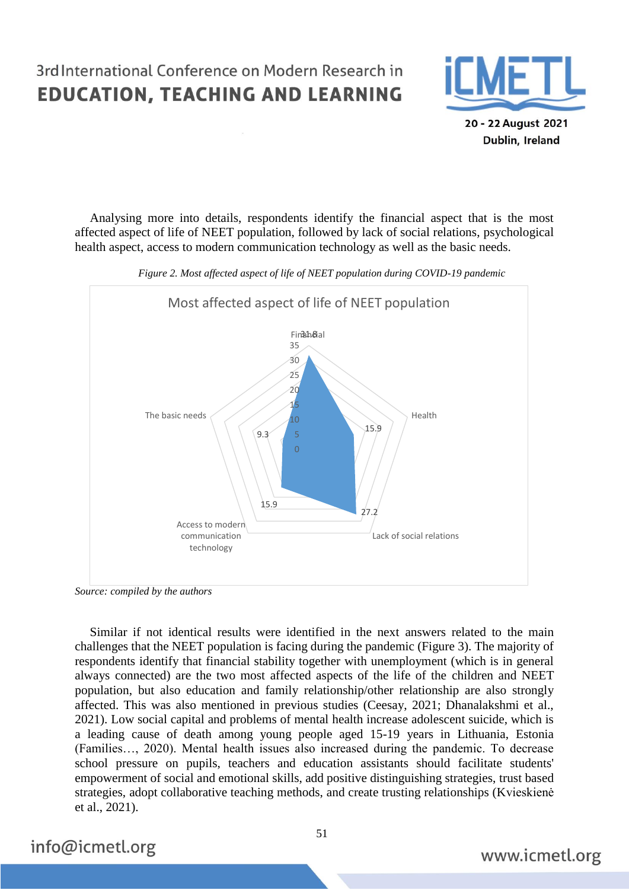

Dublin, Ireland

Analysing more into details, respondents identify the financial aspect that is the most affected aspect of life of NEET population, followed by lack of social relations, psychological health aspect, access to modern communication technology as well as the basic needs.



*Figure 2. Most affected aspect of life of NEET population during COVID-19 pandemic*

*Source: compiled by the authors*

Similar if not identical results were identified in the next answers related to the main challenges that the NEET population is facing during the pandemic (Figure 3). The majority of respondents identify that financial stability together with unemployment (which is in general always connected) are the two most affected aspects of the life of the children and NEET population, but also education and family relationship/other relationship are also strongly affected. This was also mentioned in previous studies (Ceesay, 2021; Dhanalakshmi et al., 2021). Low social capital and problems of mental health increase adolescent suicide, which is a leading cause of death among young people aged 15-19 years in Lithuania, Estonia (Families…, 2020). Mental health issues also increased during the pandemic. To decrease school pressure on pupils, teachers and education assistants should facilitate students' empowerment of social and emotional skills, add positive distinguishing strategies, trust based strategies, adopt collaborative teaching methods, and create trusting relationships (Kvieskienė et al., 2021).

info@icmetl.org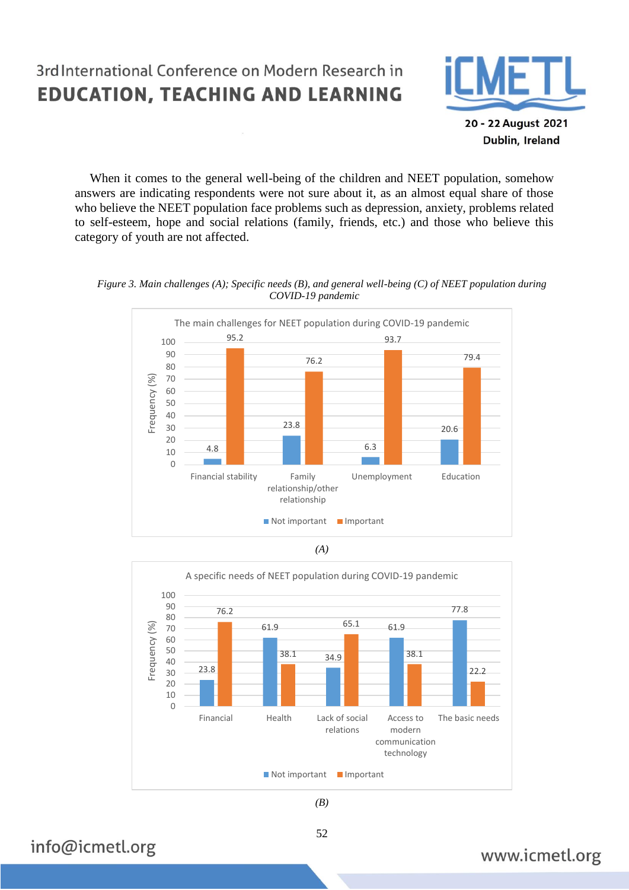

20 - 22 August 2021 Dublin, Ireland

When it comes to the general well-being of the children and NEET population, somehow answers are indicating respondents were not sure about it, as an almost equal share of those who believe the NEET population face problems such as depression, anxiety, problems related to self-esteem, hope and social relations (family, friends, etc.) and those who believe this category of youth are not affected.









*(B)*

52

## info@icmetl.org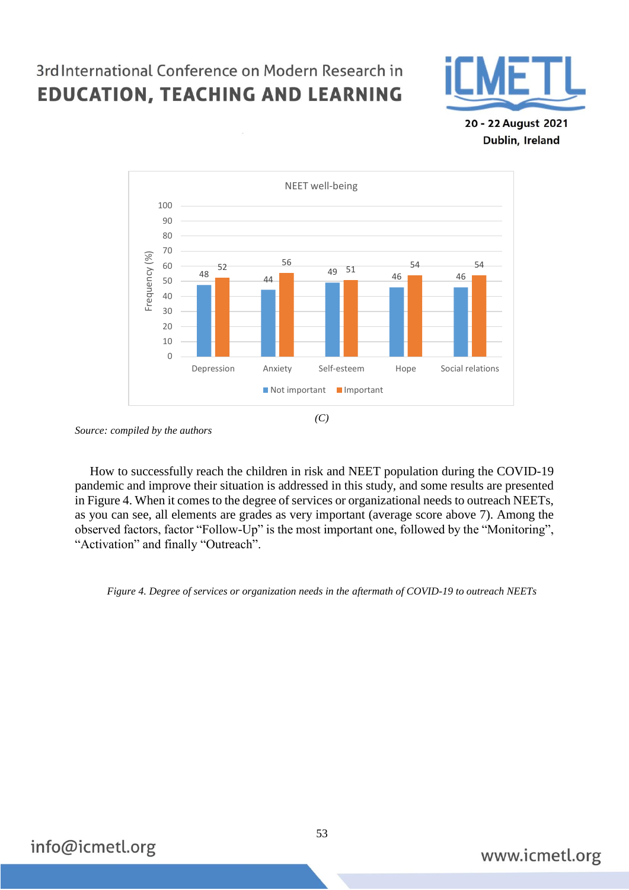

20 - 22 August 2021 Dublin, Ireland



*Source: compiled by the authors*

How to successfully reach the children in risk and NEET population during the COVID-19 pandemic and improve their situation is addressed in this study, and some results are presented in Figure 4. When it comes to the degree of services or organizational needs to outreach NEETs, as you can see, all elements are grades as very important (average score above 7). Among the observed factors, factor "Follow-Up" is the most important one, followed by the "Monitoring", "Activation" and finally "Outreach".

*Figure 4. Degree of services or organization needs in the aftermath of COVID-19 to outreach NEETs*

info@icmetl.org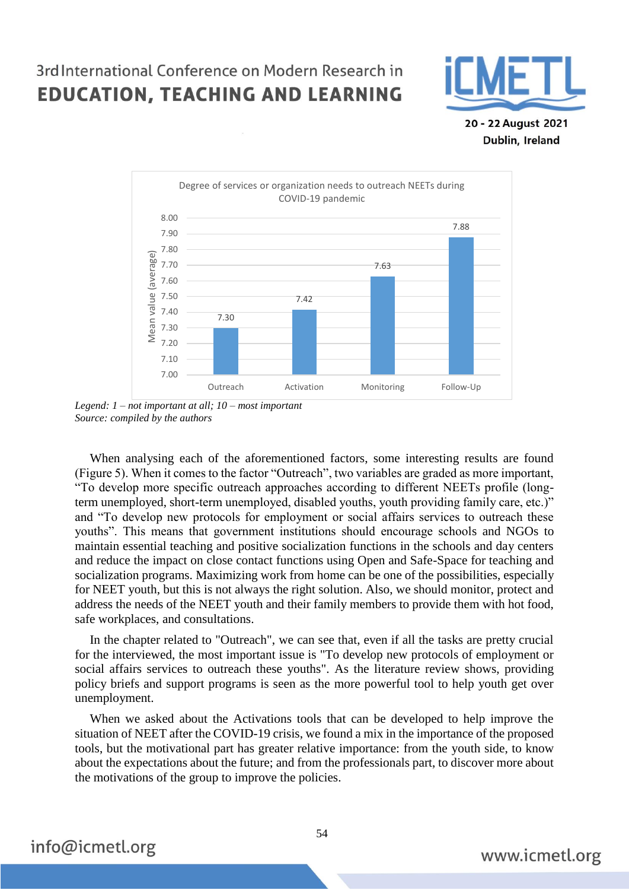

20 - 22 August 2021 Dublin, Ireland



*Legend: 1 – not important at all; 10 – most important Source: compiled by the authors*

When analysing each of the aforementioned factors, some interesting results are found (Figure 5). When it comes to the factor "Outreach", two variables are graded as more important, "To develop more specific outreach approaches according to different NEETs profile (longterm unemployed, short-term unemployed, disabled youths, youth providing family care, etc.)" and "To develop new protocols for employment or social affairs services to outreach these youths". This means that government institutions should encourage schools and NGOs to maintain essential teaching and positive socialization functions in the schools and day centers and reduce the impact on close contact functions using Open and Safe-Space for teaching and socialization programs. Maximizing work from home can be one of the possibilities, especially for NEET youth, but this is not always the right solution. Also, we should monitor, protect and address the needs of the NEET youth and their family members to provide them with hot food, safe workplaces, and consultations.

In the chapter related to "Outreach", we can see that, even if all the tasks are pretty crucial for the interviewed, the most important issue is "To develop new protocols of employment or social affairs services to outreach these youths". As the literature review shows, providing policy briefs and support programs is seen as the more powerful tool to help youth get over unemployment.

When we asked about the Activations tools that can be developed to help improve the situation of NEET after the COVID-19 crisis, we found a mix in the importance of the proposed tools, but the motivational part has greater relative importance: from the youth side, to know about the expectations about the future; and from the professionals part, to discover more about the motivations of the group to improve the policies.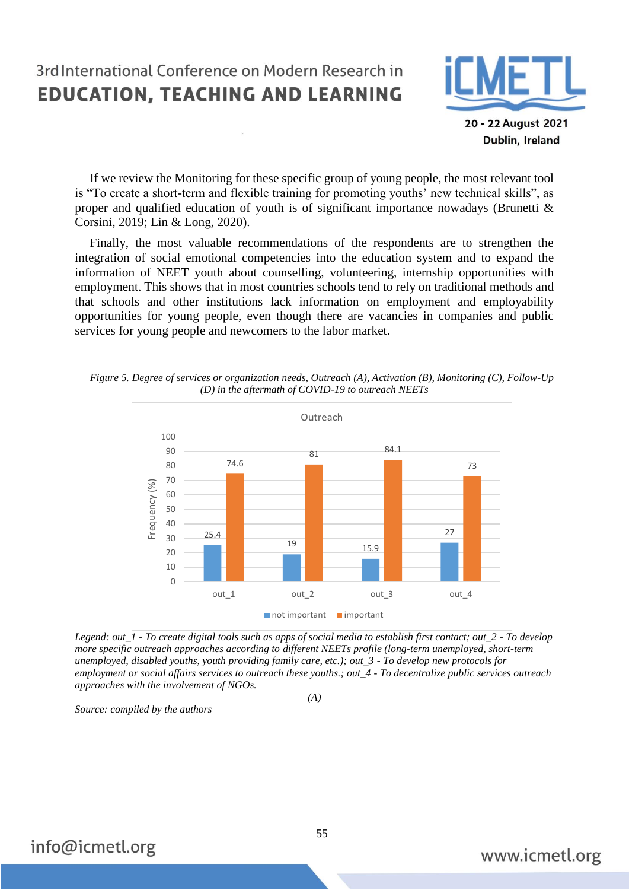

20 - 22 August 2021 Dublin, Ireland

If we review the Monitoring for these specific group of young people, the most relevant tool is "To create a short-term and flexible training for promoting youths' new technical skills", as proper and qualified education of youth is of significant importance nowadays (Brunetti & Corsini, 2019; Lin & Long, 2020).

Finally, the most valuable recommendations of the respondents are to strengthen the integration of social emotional competencies into the education system and to expand the information of NEET youth about counselling, volunteering, internship opportunities with employment. This shows that in most countries schools tend to rely on traditional methods and that schools and other institutions lack information on employment and employability opportunities for young people, even though there are vacancies in companies and public services for young people and newcomers to the labor market.

*Figure 5. Degree of services or organization needs, Outreach (A), Activation (B), Monitoring (C), Follow-Up (D) in the aftermath of COVID-19 to outreach NEETs*



*Legend: out\_1 - To create digital tools such as apps of social media to establish first contact; out\_2 - To develop more specific outreach approaches according to different NEETs profile (long-term unemployed, short-term unemployed, disabled youths, youth providing family care, etc.); out\_3 - To develop new protocols for employment or social affairs services to outreach these youths.; out\_4 - To decentralize public services outreach approaches with the involvement of NGOs.*

*(A)*

*Source: compiled by the authors*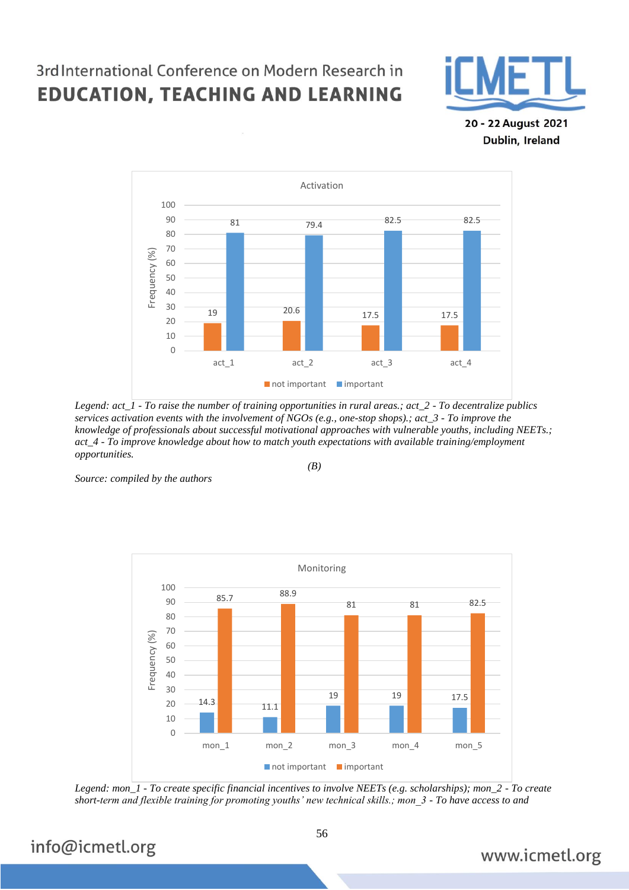

20 - 22 August 2021 Dublin, Ireland



*Legend: act\_1 - To raise the number of training opportunities in rural areas.; act\_2 - To decentralize publics services activation events with the involvement of NGOs (e.g., one-stop shops).; act\_3 - To improve the knowledge of professionals about successful motivational approaches with vulnerable youths, including NEETs.; act\_4 - To improve knowledge about how to match youth expectations with available training/employment opportunities.*

*(B)*

*Source: compiled by the authors*



*Legend: mon\_1 - To create specific financial incentives to involve NEETs (e.g. scholarships); mon\_2 - To create short-term and flexible training for promoting youths' new technical skills.; mon\_3 - To have access to and* 

## info@icmetl.org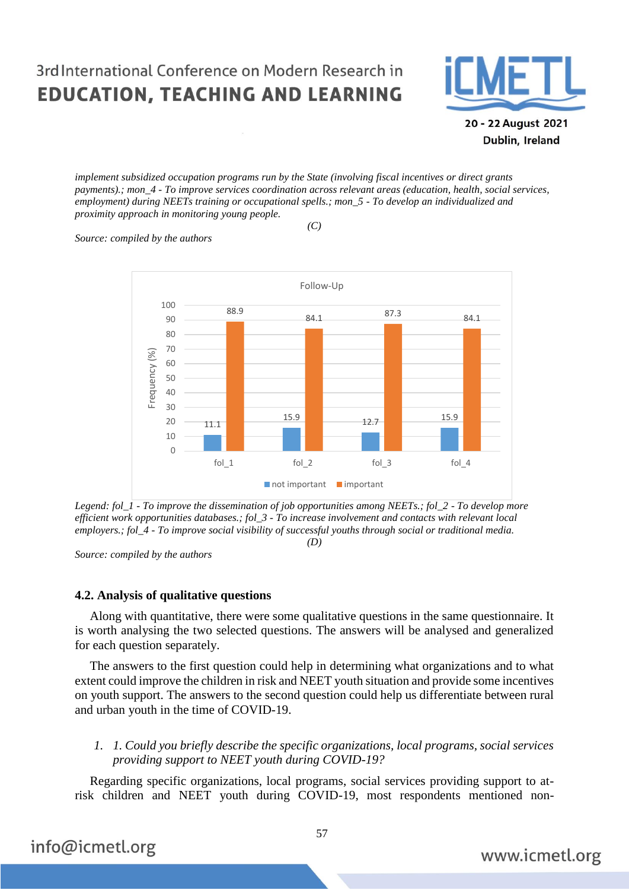

20 - 22 August 2021 Dublin, Ireland

*implement subsidized occupation programs run by the State (involving fiscal incentives or direct grants payments).; mon\_4 - To improve services coordination across relevant areas (education, health, social services, employment) during NEETs training or occupational spells.; mon\_5 - To develop an individualized and proximity approach in monitoring young people.*

*(C)*

*Source: compiled by the authors*



*Legend: fol\_1 - To improve the dissemination of job opportunities among NEETs.; fol\_2 - To develop more efficient work opportunities databases.; fol\_3 - To increase involvement and contacts with relevant local employers.; fol\_4 - To improve social visibility of successful youths through social or traditional media.*

*(D)*

*Source: compiled by the authors*

#### **4.2. Analysis of qualitative questions**

Along with quantitative, there were some qualitative questions in the same questionnaire. It is worth analysing the two selected questions. The answers will be analysed and generalized for each question separately.

The answers to the first question could help in determining what organizations and to what extent could improve the children in risk and NEET youth situation and provide some incentives on youth support. The answers to the second question could help us differentiate between rural and urban youth in the time of COVID-19.

#### *1. 1. Could you briefly describe the specific organizations, local programs, social services providing support to NEET youth during COVID-19?*

Regarding specific organizations, local programs, social services providing support to atrisk children and NEET youth during COVID-19, most respondents mentioned non-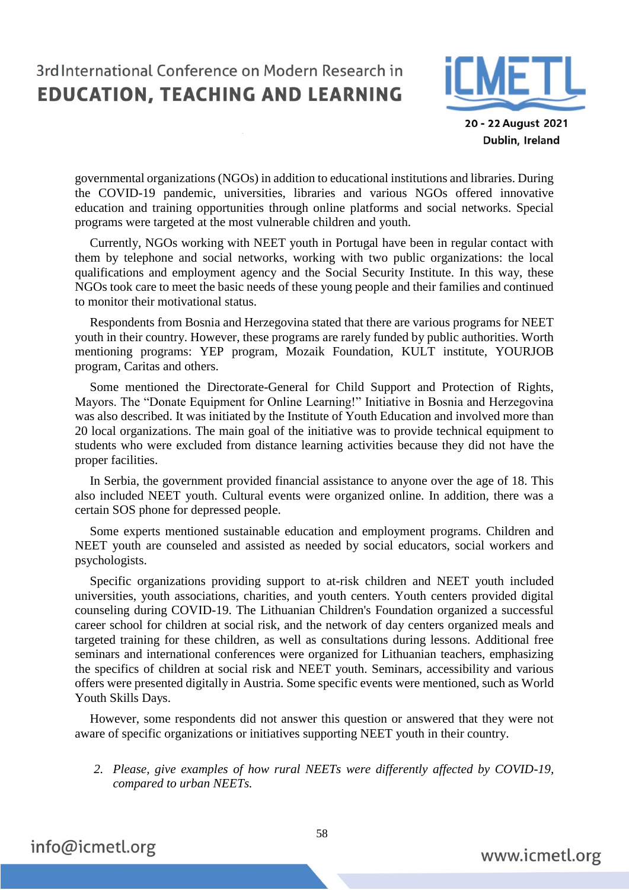

20 - 22 August 2021 Dublin, Ireland

governmental organizations (NGOs) in addition to educational institutions and libraries. During the COVID-19 pandemic, universities, libraries and various NGOs offered innovative education and training opportunities through online platforms and social networks. Special programs were targeted at the most vulnerable children and youth.

Currently, NGOs working with NEET youth in Portugal have been in regular contact with them by telephone and social networks, working with two public organizations: the local qualifications and employment agency and the Social Security Institute. In this way, these NGOs took care to meet the basic needs of these young people and their families and continued to monitor their motivational status.

Respondents from Bosnia and Herzegovina stated that there are various programs for NEET youth in their country. However, these programs are rarely funded by public authorities. Worth mentioning programs: YEP program, Mozaik Foundation, KULT institute, YOURJOB program, Caritas and others.

Some mentioned the Directorate-General for Child Support and Protection of Rights, Mayors. The "Donate Equipment for Online Learning!" Initiative in Bosnia and Herzegovina was also described. It was initiated by the Institute of Youth Education and involved more than 20 local organizations. The main goal of the initiative was to provide technical equipment to students who were excluded from distance learning activities because they did not have the proper facilities.

In Serbia, the government provided financial assistance to anyone over the age of 18. This also included NEET youth. Cultural events were organized online. In addition, there was a certain SOS phone for depressed people.

Some experts mentioned sustainable education and employment programs. Children and NEET youth are counseled and assisted as needed by social educators, social workers and psychologists.

Specific organizations providing support to at-risk children and NEET youth included universities, youth associations, charities, and youth centers. Youth centers provided digital counseling during COVID-19. The Lithuanian Children's Foundation organized a successful career school for children at social risk, and the network of day centers organized meals and targeted training for these children, as well as consultations during lessons. Additional free seminars and international conferences were organized for Lithuanian teachers, emphasizing the specifics of children at social risk and NEET youth. Seminars, accessibility and various offers were presented digitally in Austria. Some specific events were mentioned, such as World Youth Skills Days.

However, some respondents did not answer this question or answered that they were not aware of specific organizations or initiatives supporting NEET youth in their country.

*2. Please, give examples of how rural NEETs were differently affected by COVID-19, compared to urban NEETs.*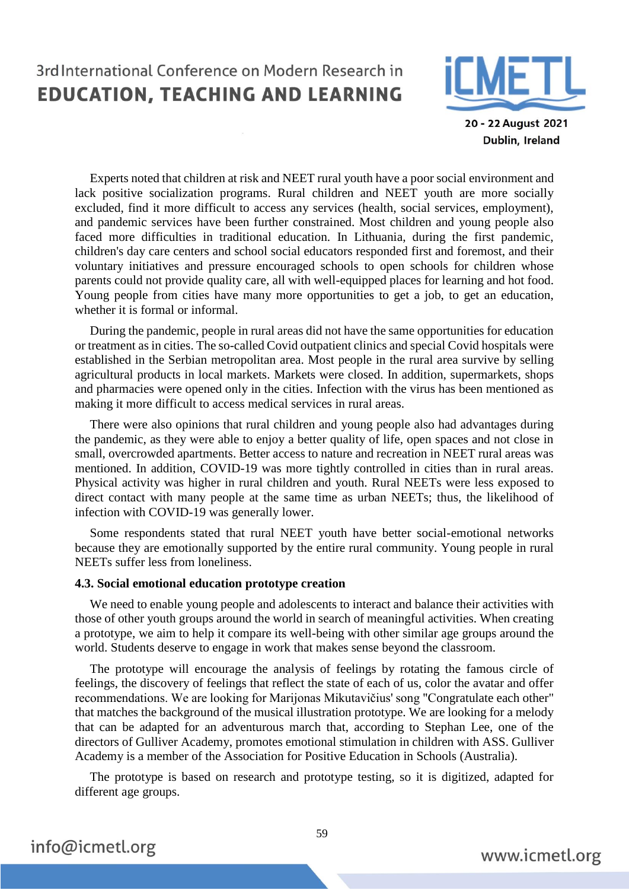

20 - 22 August 2021 Dublin, Ireland

Experts noted that children at risk and NEET rural youth have a poor social environment and lack positive socialization programs. Rural children and NEET youth are more socially excluded, find it more difficult to access any services (health, social services, employment), and pandemic services have been further constrained. Most children and young people also faced more difficulties in traditional education. In Lithuania, during the first pandemic, children's day care centers and school social educators responded first and foremost, and their voluntary initiatives and pressure encouraged schools to open schools for children whose parents could not provide quality care, all with well-equipped places for learning and hot food. Young people from cities have many more opportunities to get a job, to get an education, whether it is formal or informal.

During the pandemic, people in rural areas did not have the same opportunities for education or treatment as in cities. The so-called Covid outpatient clinics and special Covid hospitals were established in the Serbian metropolitan area. Most people in the rural area survive by selling agricultural products in local markets. Markets were closed. In addition, supermarkets, shops and pharmacies were opened only in the cities. Infection with the virus has been mentioned as making it more difficult to access medical services in rural areas.

There were also opinions that rural children and young people also had advantages during the pandemic, as they were able to enjoy a better quality of life, open spaces and not close in small, overcrowded apartments. Better access to nature and recreation in NEET rural areas was mentioned. In addition, COVID-19 was more tightly controlled in cities than in rural areas. Physical activity was higher in rural children and youth. Rural NEETs were less exposed to direct contact with many people at the same time as urban NEETs; thus, the likelihood of infection with COVID-19 was generally lower.

Some respondents stated that rural NEET youth have better social-emotional networks because they are emotionally supported by the entire rural community. Young people in rural NEETs suffer less from loneliness.

#### **4.3. Social emotional education prototype creation**

We need to enable young people and adolescents to interact and balance their activities with those of other youth groups around the world in search of meaningful activities. When creating a prototype, we aim to help it compare its well-being with other similar age groups around the world. Students deserve to engage in work that makes sense beyond the classroom.

The prototype will encourage the analysis of feelings by rotating the famous circle of feelings, the discovery of feelings that reflect the state of each of us, color the avatar and offer recommendations. We are looking for Marijonas Mikutavičius' song "Congratulate each other" that matches the background of the musical illustration prototype. We are looking for a melody that can be adapted for an adventurous march that, according to Stephan Lee, one of the directors of Gulliver Academy, promotes emotional stimulation in children with ASS. Gulliver Academy is a member of the Association for Positive Education in Schools (Australia).

The prototype is based on research and prototype testing, so it is digitized, adapted for different age groups.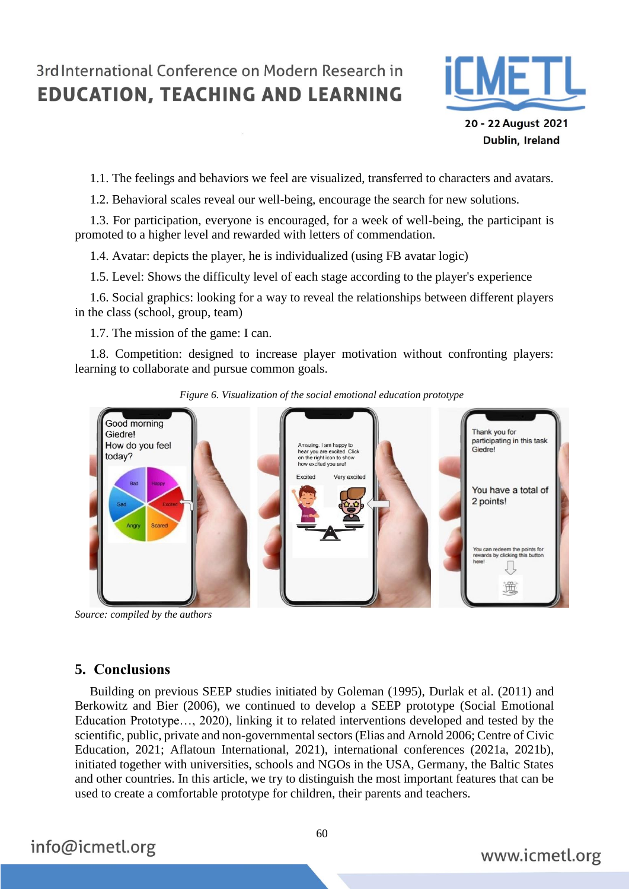

20 - 22 August 2021 Dublin, Ireland

1.1. The feelings and behaviors we feel are visualized, transferred to characters and avatars.

1.2. Behavioral scales reveal our well-being, encourage the search for new solutions.

1.3. For participation, everyone is encouraged, for a week of well-being, the participant is promoted to a higher level and rewarded with letters of commendation.

1.4. Avatar: depicts the player, he is individualized (using FB avatar logic)

1.5. Level: Shows the difficulty level of each stage according to the player's experience

1.6. Social graphics: looking for a way to reveal the relationships between different players in the class (school, group, team)

1.7. The mission of the game: I can.

1.8. Competition: designed to increase player motivation without confronting players: learning to collaborate and pursue common goals.



*Figure 6. Visualization of the social emotional education prototype*

*Source: compiled by the authors*

### **5. Conclusions**

Building on previous SEEP studies initiated by Goleman (1995), Durlak et al. (2011) and Berkowitz and Bier (2006), we continued to develop a SEEP prototype (Social Emotional Education Prototype…, 2020), linking it to related interventions developed and tested by the scientific, public, private and non-governmental sectors (Elias and Arnold 2006; Centre of Civic Education, 2021; Aflatoun International, 2021), international conferences (2021a, 2021b), initiated together with universities, schools and NGOs in the USA, Germany, the Baltic States and other countries. In this article, we try to distinguish the most important features that can be used to create a comfortable prototype for children, their parents and teachers.

info@icmetl.org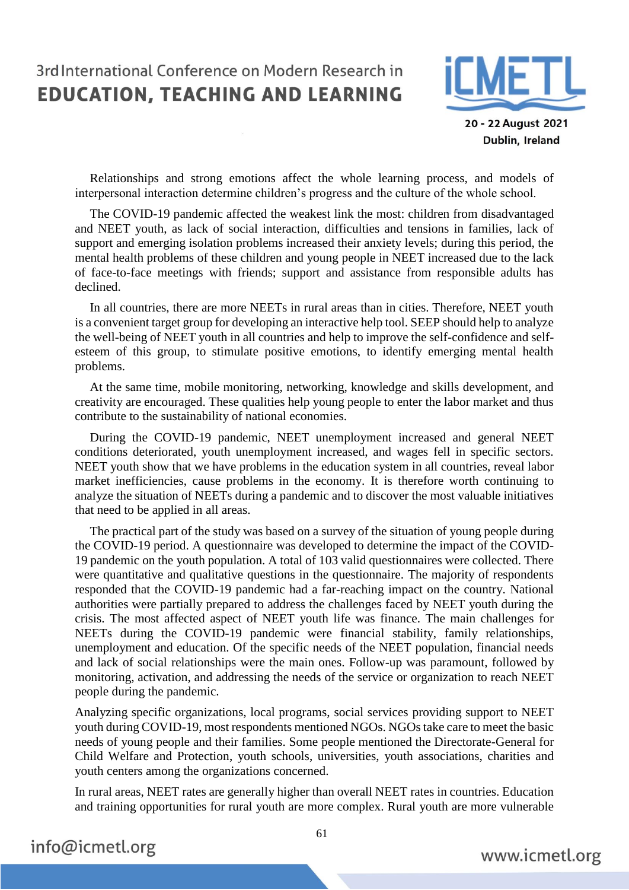

20 - 22 August 2021 Dublin, Ireland

Relationships and strong emotions affect the whole learning process, and models of interpersonal interaction determine children's progress and the culture of the whole school.

The COVID-19 pandemic affected the weakest link the most: children from disadvantaged and NEET youth, as lack of social interaction, difficulties and tensions in families, lack of support and emerging isolation problems increased their anxiety levels; during this period, the mental health problems of these children and young people in NEET increased due to the lack of face-to-face meetings with friends; support and assistance from responsible adults has declined.

In all countries, there are more NEETs in rural areas than in cities. Therefore, NEET youth is a convenient target group for developing an interactive help tool. SEEP should help to analyze the well-being of NEET youth in all countries and help to improve the self-confidence and selfesteem of this group, to stimulate positive emotions, to identify emerging mental health problems.

At the same time, mobile monitoring, networking, knowledge and skills development, and creativity are encouraged. These qualities help young people to enter the labor market and thus contribute to the sustainability of national economies.

During the COVID-19 pandemic, NEET unemployment increased and general NEET conditions deteriorated, youth unemployment increased, and wages fell in specific sectors. NEET youth show that we have problems in the education system in all countries, reveal labor market inefficiencies, cause problems in the economy. It is therefore worth continuing to analyze the situation of NEETs during a pandemic and to discover the most valuable initiatives that need to be applied in all areas.

The practical part of the study was based on a survey of the situation of young people during the COVID-19 period. A questionnaire was developed to determine the impact of the COVID-19 pandemic on the youth population. A total of 103 valid questionnaires were collected. There were quantitative and qualitative questions in the questionnaire. The majority of respondents responded that the COVID-19 pandemic had a far-reaching impact on the country. National authorities were partially prepared to address the challenges faced by NEET youth during the crisis. The most affected aspect of NEET youth life was finance. The main challenges for NEETs during the COVID-19 pandemic were financial stability, family relationships, unemployment and education. Of the specific needs of the NEET population, financial needs and lack of social relationships were the main ones. Follow-up was paramount, followed by monitoring, activation, and addressing the needs of the service or organization to reach NEET people during the pandemic.

Analyzing specific organizations, local programs, social services providing support to NEET youth during COVID-19, most respondents mentioned NGOs. NGOs take care to meet the basic needs of young people and their families. Some people mentioned the Directorate-General for Child Welfare and Protection, youth schools, universities, youth associations, charities and youth centers among the organizations concerned.

In rural areas, NEET rates are generally higher than overall NEET rates in countries. Education and training opportunities for rural youth are more complex. Rural youth are more vulnerable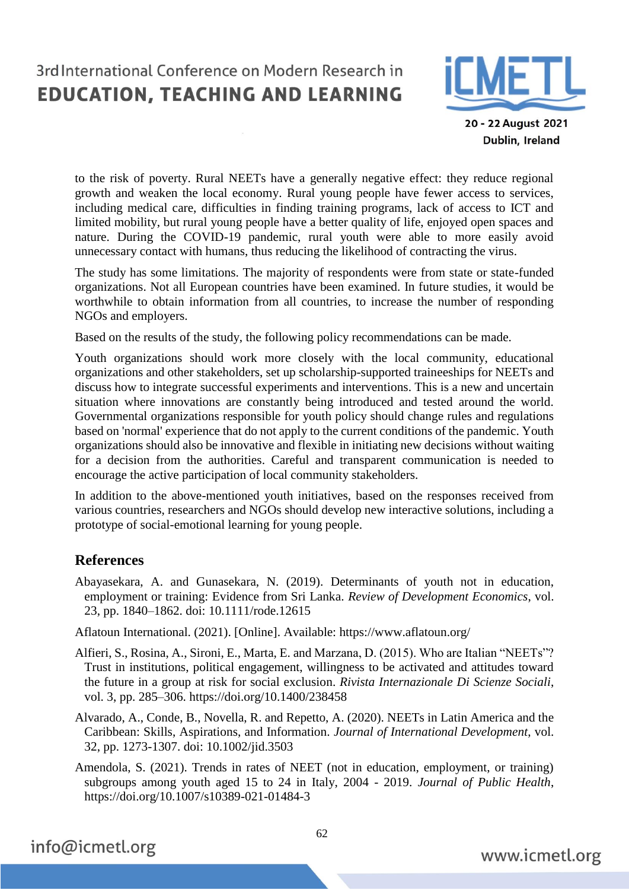

20 - 22 August 2021 Dublin, Ireland

to the risk of poverty. Rural NEETs have a generally negative effect: they reduce regional growth and weaken the local economy. Rural young people have fewer access to services, including medical care, difficulties in finding training programs, lack of access to ICT and limited mobility, but rural young people have a better quality of life, enjoyed open spaces and nature. During the COVID-19 pandemic, rural youth were able to more easily avoid unnecessary contact with humans, thus reducing the likelihood of contracting the virus.

The study has some limitations. The majority of respondents were from state or state-funded organizations. Not all European countries have been examined. In future studies, it would be worthwhile to obtain information from all countries, to increase the number of responding NGOs and employers.

Based on the results of the study, the following policy recommendations can be made.

Youth organizations should work more closely with the local community, educational organizations and other stakeholders, set up scholarship-supported traineeships for NEETs and discuss how to integrate successful experiments and interventions. This is a new and uncertain situation where innovations are constantly being introduced and tested around the world. Governmental organizations responsible for youth policy should change rules and regulations based on 'normal' experience that do not apply to the current conditions of the pandemic. Youth organizations should also be innovative and flexible in initiating new decisions without waiting for a decision from the authorities. Careful and transparent communication is needed to encourage the active participation of local community stakeholders.

In addition to the above-mentioned youth initiatives, based on the responses received from various countries, researchers and NGOs should develop new interactive solutions, including a prototype of social-emotional learning for young people.

### **References**

Abayasekara, A. and Gunasekara, N. (2019). Determinants of youth not in education, employment or training: Evidence from Sri Lanka. *Review of Development Economics*, vol. 23, pp. 1840–1862. doi: 10.1111/rode.12615

Aflatoun International. (2021). [Online]. Available: https://www.aflatoun.org/

- Alfieri, S., Rosina, A., Sironi, E., Marta, E. and Marzana, D. (2015). Who are Italian "NEETs"? Trust in institutions, political engagement, willingness to be activated and attitudes toward the future in a group at risk for social exclusion. *Rivista Internazionale Di Scienze Sociali*, vol. 3, pp. 285–306. https://doi.org/10.1400/238458
- Alvarado, A., Conde, B., Novella, R. and Repetto, A. (2020). NEETs in Latin America and the Caribbean: Skills, Aspirations, and Information. *Journal of International Development*, vol. 32, pp. 1273-1307. doi: 10.1002/jid.3503
- Amendola, S. (2021). Trends in rates of NEET (not in education, employment, or training) subgroups among youth aged 15 to 24 in Italy, 2004 - 2019. *Journal of Public Health*, <https://doi.org/10.1007/s10389-021-01484-3>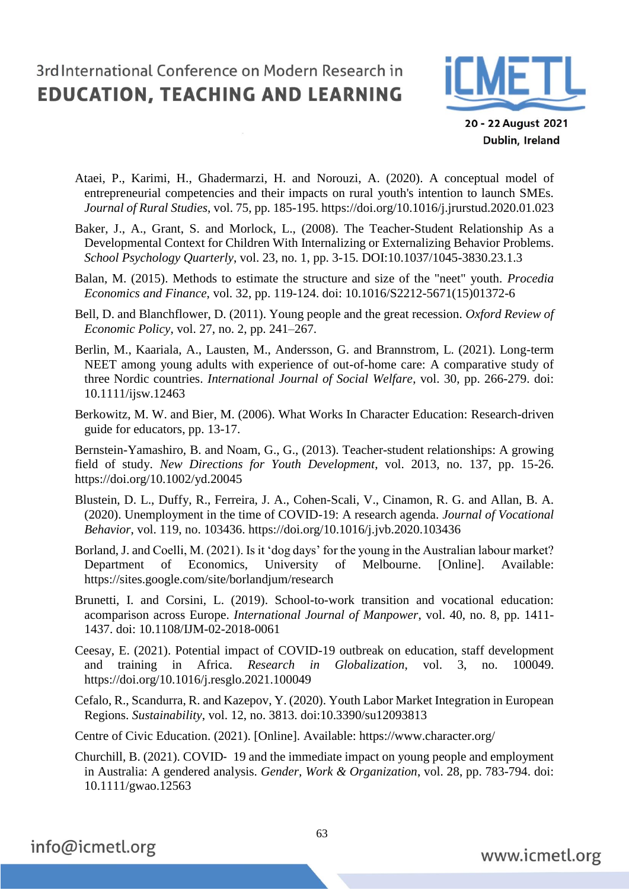

20 - 22 August 2021 Dublin, Ireland

- Ataei, P., Karimi, H., Ghadermarzi, H. and Norouzi, A. (2020). A conceptual model of entrepreneurial competencies and their impacts on rural youth's intention to launch SMEs. *Journal of Rural Studies*, vol. 75, pp. 185-195.<https://doi.org/10.1016/j.jrurstud.2020.01.023>
- Baker, J., A., Grant, S. and Morlock, L., (2008). The Teacher-Student Relationship As a Developmental Context for Children With Internalizing or Externalizing Behavior Problems. *School Psychology Quarterly*, vol. 23, no. 1, pp. 3-15. DOI:10.1037/1045-3830.23.1.3
- Balan, M. (2015). Methods to estimate the structure and size of the "neet" youth. *Procedia Economics and Finance*, vol. 32, pp. 119-124. doi: 10.1016/S2212-5671(15)01372-6
- Bell, D. and Blanchflower, D. (2011). Young people and the great recession. *Oxford Review of Economic Policy*, vol. 27, no. 2, pp. 241–267.
- Berlin, M., Kaariala, A., Lausten, M., Andersson, G. and Brannstrom, L. (2021). Long-term NEET among young adults with experience of out-of-home care: A comparative study of three Nordic countries. *International Journal of Social Welfare*, vol. 30, pp. 266-279. doi: 10.1111/ijsw.12463
- Berkowitz, M. W. and Bier, M. (2006). What Works In Character Education: Research-driven guide for educators, pp. 13-17.

[Bernstein-Yamashiro,](https://onlinelibrary.wiley.com/action/doSearch?ContribAuthorRaw=Bernstein-Yamashiro%2C+Beth) B. and [Noam,](https://onlinelibrary.wiley.com/action/doSearch?ContribAuthorRaw=Noam%2C+Gil+G) G., G., (2013). Teacher-student relationships: A growing field of study. *New Directions for Youth Development*, vol. 2013, no. 137, pp. 15-26. https://doi.org/10.1002/yd.20045

- Blustein, D. L., Duffy, R., Ferreira, J. A., Cohen-Scali, V., Cinamon, R. G. and Allan, B. A. (2020). Unemployment in the time of COVID-19: A research agenda. *Journal of Vocational Behavior*, vol. 119, no. 103436.<https://doi.org/10.1016/j.jvb.2020.103436>
- Borland, J. and Coelli, M. (2021). Is it 'dog days' for the young in the Australian labour market? Department of Economics, University of Melbourne. [Online]. Available: <https://sites.google.com/site/borlandjum/research>
- Brunetti, I. and Corsini, L. (2019). School-to-work transition and vocational education: acomparison across Europe. *International Journal of Manpower*, vol. 40, no. 8, pp. 1411- 1437. doi: 10.1108/IJM-02-2018-0061
- Ceesay, E. (2021). Potential impact of COVID-19 outbreak on education, staff development and training in Africa. *Research in Globalization*, vol. 3, no. 100049. https://doi.org/10.1016/j.resglo.2021.100049
- Cefalo, R., Scandurra, R. and Kazepov, Y. (2020). Youth Labor Market Integration in European Regions. *Sustainability*, vol. 12, no. 3813. doi:10.3390/su12093813

Centre of Civic Education. (2021). [Online]. Available: https://www.character.org/

Churchill, B. (2021). COVID‐ 19 and the immediate impact on young people and employment in Australia: A gendered analysis. *Gender, Work & Organization*, vol. 28, pp. 783-794. doi: 10.1111/gwao.12563

info@icmetl.org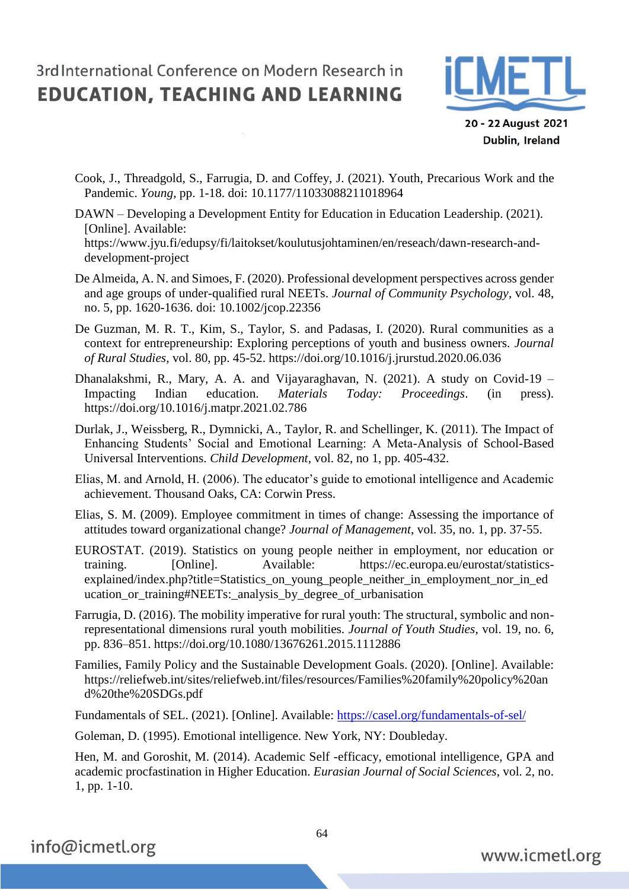

20 - 22 August 2021 Dublin, Ireland

Cook, J., Threadgold, S., Farrugia, D. and Coffey, J. (2021). Youth, Precarious Work and the Pandemic. *Young*, pp. 1-18. doi: 10.1177/11033088211018964

DAWN – Developing a Development Entity for Education in Education Leadership. (2021). [Online]. Available: https://www.jyu.fi/edupsy/fi/laitokset/koulutusjohtaminen/en/reseach/dawn-research-anddevelopment-project

- De Almeida, A. N. and Simoes, F. (2020). Professional development perspectives across gender and age groups of under-qualified rural NEETs. *Journal of Community Psychology*, vol. 48, no. 5, pp. 1620-1636. doi: 10.1002/jcop.22356
- De Guzman, M. R. T., Kim, S., Taylor, S. and Padasas, I. (2020). Rural communities as a context for entrepreneurship: Exploring perceptions of youth and business owners. *Journal of Rural Studies*, vol. 80, pp. 45-52.<https://doi.org/10.1016/j.jrurstud.2020.06.036>

Dhanalakshmi, R., Mary, A. A. and Vijayaraghavan, N. (2021). A study on Covid-19 – Impacting Indian education. *Materials Today: Proceedings*. (in press). https://doi.org/10.1016/j.matpr.2021.02.786

Durlak, J., Weissberg, R., Dymnicki, A., Taylor, R. and Schellinger, K. (2011). The Impact of Enhancing Students' Social and Emotional Learning: A Meta-Analysis of School-Based Universal Interventions. *Child Development*, vol. 82, no 1, pp. 405-432.

Elias, M. and Arnold, H. (2006). The educator's guide to emotional intelligence and Academic achievement. Thousand Oaks, CA: Corwin Press.

Elias, S. M. (2009). Employee commitment in times of change: Assessing the importance of attitudes toward organizational change? *Journal of Management*, vol. 35, no. 1, pp. 37-55.

- EUROSTAT. (2019). Statistics on young people neither in employment, nor education or training. [Online]. Available: [https://ec.europa.eu/eurostat/statistics](https://ec.europa.eu/eurostat/statistics-explained/index.php?title=Statistics_on_young_people_neither_in_employment_nor_in_education_or_training#NEETs:_analysis_by_degree_of_urbanisation)[explained/index.php?title=Statistics\\_on\\_young\\_people\\_neither\\_in\\_employment\\_nor\\_in\\_ed](https://ec.europa.eu/eurostat/statistics-explained/index.php?title=Statistics_on_young_people_neither_in_employment_nor_in_education_or_training#NEETs:_analysis_by_degree_of_urbanisation) [ucation\\_or\\_training#NEETs:\\_analysis\\_by\\_degree\\_of\\_urbanisation](https://ec.europa.eu/eurostat/statistics-explained/index.php?title=Statistics_on_young_people_neither_in_employment_nor_in_education_or_training#NEETs:_analysis_by_degree_of_urbanisation)
- Farrugia, D. (2016). The mobility imperative for rural youth: The structural, symbolic and nonrepresentational dimensions rural youth mobilities. *Journal of Youth Studies*, vol. 19, no. 6, pp. 836–851.<https://doi.org/10.1080/13676261.2015.1112886>
- Families, Family Policy and the Sustainable Development Goals. (2020). [Online]. Available: [https://reliefweb.int/sites/reliefweb.int/files/resources/Families%20family%20policy%20an](https://reliefweb.int/sites/reliefweb.int/files/resources/Families%20family%20policy%20and%20the%20SDGs.pdf) [d%20the%20SDGs.pdf](https://reliefweb.int/sites/reliefweb.int/files/resources/Families%20family%20policy%20and%20the%20SDGs.pdf)

Fundamentals of SEL. (2021). [Online]. Available: <https://casel.org/fundamentals-of-sel/>

Goleman, D. (1995). Emotional intelligence. New York, NY: Doubleday.

Hen, M. and Goroshit, M. (2014). Academic Self -efficacy, emotional intelligence, GPA and academic procfastination in Higher Education. *Eurasian Journal of Social Sciences*, vol. 2, no. 1, pp. 1-10.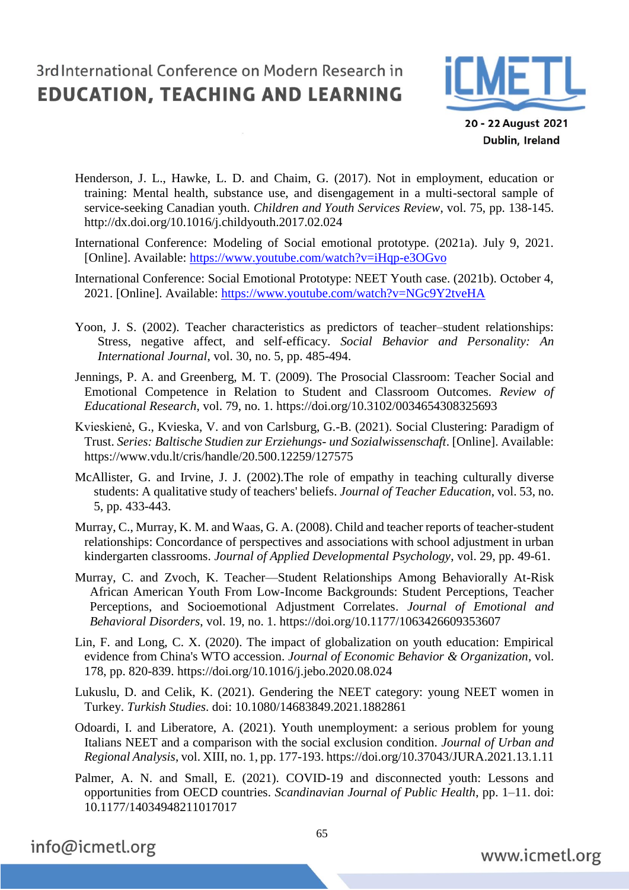

20 - 22 August 2021 Dublin, Ireland

- Henderson, J. L., Hawke, L. D. and Chaim, G. (2017). Not in employment, education or training: Mental health, substance use, and disengagement in a multi-sectoral sample of service-seeking Canadian youth. *Children and Youth Services Review*, vol. 75, pp. 138-145. <http://dx.doi.org/10.1016/j.childyouth.2017.02.024>
- International Conference: Modeling of Social emotional prototype. (2021a). July 9, 2021. [Online]. Available:<https://www.youtube.com/watch?v=iHqp-e3OGvo>
- International Conference: Social Emotional Prototype: NEET Youth case. (2021b). October 4, 2021. [Online]. Available:<https://www.youtube.com/watch?v=NGc9Y2tveHA>
- Yoon, J. S. (2002). Teacher characteristics as predictors of teacher–student relationships: Stress, negative affect, and self-efficacy. *Social Behavior and Personality: An International Journal*, vol. 30, no. 5, pp. 485-494.
- [Jennings,](https://journals.sagepub.com/doi/10.3102/0034654308325693) P. A. and Greenberg, M. T. (2009). The Prosocial Classroom: Teacher Social and Emotional Competence in Relation to Student and Classroom Outcomes. *Review of Educational Research*, vol. 79, no. 1. https://doi.org/10.3102/0034654308325693
- [Kvieskienė,](https://www.peterlang.com/search?f_0=author&q_0=Giedr%C4%97+Kvieskien%C4%97) G., Kvieska, V. and von Carlsburg, G.-B. (2021). [Social Clustering: Paradigm of](https://www.peterlang.com/view/title/72928)  [Trust.](https://www.peterlang.com/view/title/72928) *Series: Baltische Studien zur Erziehungs- und Sozialwissenschaft*. [Online]. Available: <https://www.vdu.lt/cris/handle/20.500.12259/127575>
- [McAllister,](https://nau.pure.elsevier.com/en/persons/gretchen-f-mcallister) G. and Irvine, J. J. (2002).The role of empathy in teaching culturally diverse students: A qualitative study of teachers' beliefs. *Journal of Teacher Education*, vol. 53, no. 5, pp. 433-443.
- Murray, C., Murray, K. M. and Waas, G. A. (2008). Child and teacher reports of teacher-student relationships: Concordance of perspectives and associations with school adjustment in urban kindergarten classrooms. *Journal of Applied Developmental Psychology*, vol. 29, pp. 49-61.
- [Murray,](https://journals.sagepub.com/doi/10.1177/1063426609353607) C. and [Zvoch,](https://journals.sagepub.com/doi/10.1177/1063426609353607) K. Teacher—Student Relationships Among Behaviorally At-Risk African American Youth From Low-Income Backgrounds: Student Perceptions, Teacher Perceptions, and Socioemotional Adjustment Correlates. *Journal of Emotional and Behavioral Disorders*, vol. 19, no. 1. https://doi.org/10.1177/1063426609353607
- Lin, F. and Long, C. X. (2020). The impact of globalization on youth education: Empirical evidence from China's WTO accession. *Journal of Economic Behavior & Organization*, vol. 178, pp. 820-839. https://doi.org/10.1016/j.jebo.2020.08.024
- Lukuslu, D. and Celik, K. (2021). Gendering the NEET category: young NEET women in Turkey. *Turkish Studies*. doi: 10.1080/14683849.2021.1882861
- Odoardi, I. and Liberatore, A. (2021). Youth unemployment: a serious problem for young Italians NEET and a comparison with the social exclusion condition. *Journal of Urban and Regional Analysis*, vol. XIII, no. 1, pp. 177-193.<https://doi.org/10.37043/JURA.2021.13.1.11>
- Palmer, A. N. and Small, E. (2021). COVID-19 and disconnected youth: Lessons and opportunities from OECD countries. *Scandinavian Journal of Public Health*, pp. 1–11. doi: 10.1177/14034948211017017

info@icmetl.org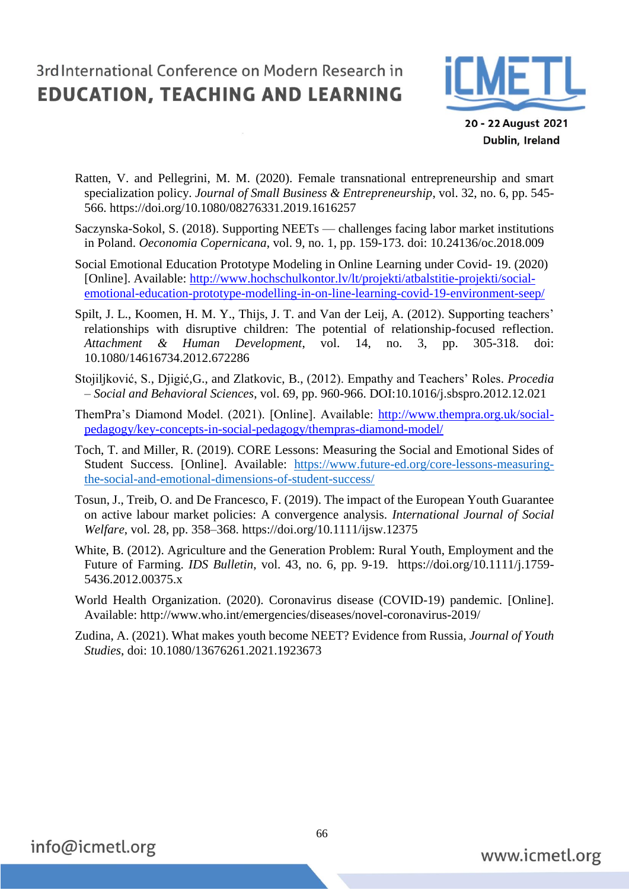

20 - 22 August 2021 Dublin, Ireland

- Ratten, V. and Pellegrini, M. M. (2020). Female transnational entrepreneurship and smart specialization policy. *Journal of Small Business & Entrepreneurship*, vol. 32, no. 6, pp. 545- 566.<https://doi.org/10.1080/08276331.2019.1616257>
- Saczynska-Sokol, S. (2018). Supporting NEETs challenges facing labor market institutions in Poland. *Oeconomia Copernicana*, vol. 9, no. 1, pp. 159-173. doi: 10.24136/oc.2018.009
- Social Emotional Education Prototype Modeling in Online Learning under Covid- 19. (2020) [Online]. Available: [http://www.hochschulkontor.lv/lt/projekti/atbalstitie-projekti/social](http://www.hochschulkontor.lv/lt/projekti/atbalstitie-projekti/social-emotional-education-prototype-modelling-in-on-line-learning-covid-19-environment-seep/)[emotional-education-prototype-modelling-in-on-line-learning-covid-19-environment-seep/](http://www.hochschulkontor.lv/lt/projekti/atbalstitie-projekti/social-emotional-education-prototype-modelling-in-on-line-learning-covid-19-environment-seep/)
- Spilt, J. L., Koomen, H. M. Y., Thijs, J. T. and Van der Leij, A. (2012). Supporting teachers' relationships with disruptive children: The potential of relationship-focused reflection. *Attachment & Human Development*, vol. 14, no. 3, pp. 305-318. doi: 10.1080/14616734.2012.672286
- Stojiljković, S., Djigić,G., and Zlatkovic, B., (2012). Empathy and Teachers' Roles. *Procedia – Social and Behavioral Sciences*, vol. 69, pp. 960-966. DOI:10.1016/j.sbspro.2012.12.021
- ThemPra's Diamond Model. (2021). [Online]. Available: [http://www.thempra.org.uk/social](http://www.thempra.org.uk/social-pedagogy/key-concepts-in-social-pedagogy/thempras-diamond-model/)[pedagogy/key-concepts-in-social-pedagogy/thempras-diamond-model/](http://www.thempra.org.uk/social-pedagogy/key-concepts-in-social-pedagogy/thempras-diamond-model/)
- Toch, T. and Miller, R. (2019). CORE Lessons: Measuring the Social and Emotional Sides of Student Success. [Online]. Available: [https://www.future-ed.org/core-lessons-measuring](https://www.future-ed.org/core-lessons-measuring-the-social-and-emotional-dimensions-of-student-success/)[the-social-and-emotional-dimensions-of-student-success/](https://www.future-ed.org/core-lessons-measuring-the-social-and-emotional-dimensions-of-student-success/)
- Tosun, J., Treib, O. and De Francesco, F. (2019). The impact of the European Youth Guarantee on active labour market policies: A convergence analysis. *International Journal of Social Welfare*, vol. 28, pp. 358–368.<https://doi.org/10.1111/ijsw.12375>
- White, B. (2012). Agriculture and the Generation Problem: Rural Youth, Employment and the Future of Farming. *IDS Bulletin*, vol. 43, no. 6, pp. 9-19. [https://doi.org/10.1111/j.1759-](https://doi.org/10.1111/j.1759-5436.2012.00375.x) [5436.2012.00375.x](https://doi.org/10.1111/j.1759-5436.2012.00375.x)
- World Health Organization. (2020). Coronavirus disease (COVID-19) pandemic. [Online]. Available:<http://www.who.int/emergencies/diseases/novel-coronavirus-2019/>
- Zudina, A. (2021). What makes youth become NEET? Evidence from Russia, *Journal of Youth Studies*, doi: 10.1080/13676261.2021.1923673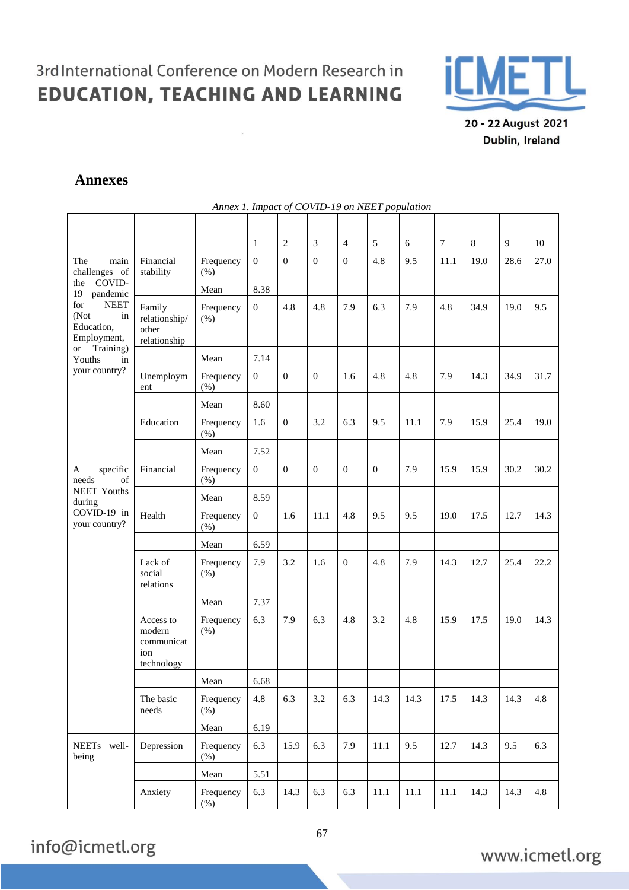$\bar{\alpha}$ 



20 - 22 August 2021 Dublin, Ireland

### **Annexes**

|                                                               |                                                        | Annex 1. Impact of COVID-19 on NEET population |                  |                |              |                  |                |          |                  |       |      |      |
|---------------------------------------------------------------|--------------------------------------------------------|------------------------------------------------|------------------|----------------|--------------|------------------|----------------|----------|------------------|-------|------|------|
|                                                               |                                                        |                                                |                  |                |              |                  |                |          |                  |       |      |      |
|                                                               |                                                        |                                                | 1                | $\sqrt{2}$     | 3            | $\overline{4}$   | $\sqrt{5}$     | 6        | $\boldsymbol{7}$ | $8\,$ | 9    | 10   |
| The<br>main<br>challenges of                                  | Financial<br>stability                                 | Frequency<br>$(\% )$                           | $\overline{0}$   | $\overline{0}$ | $\mathbf{0}$ | $\boldsymbol{0}$ | 4.8            | 9.5      | 11.1             | 19.0  | 28.6 | 27.0 |
| COVID-<br>the<br>19<br>pandemic                               |                                                        | Mean                                           | 8.38             |                |              |                  |                |          |                  |       |      |      |
| <b>NEET</b><br>for<br>(Not<br>in<br>Education,<br>Employment, | Family<br>relationship/<br>other<br>relationship       | Frequency<br>(% )                              | $\boldsymbol{0}$ | 4.8            | 4.8          | 7.9              | 6.3            | 7.9      | 4.8              | 34.9  | 19.0 | 9.5  |
| Training)<br><b>or</b><br>Youths<br>in                        |                                                        | Mean                                           | 7.14             |                |              |                  |                |          |                  |       |      |      |
| your country?                                                 | Unemploym<br>ent                                       | Frequency<br>(%)                               | $\mathbf{0}$     | $\overline{0}$ | $\mathbf{0}$ | 1.6              | 4.8            | 4.8      | 7.9              | 14.3  | 34.9 | 31.7 |
|                                                               |                                                        | Mean                                           | 8.60             |                |              |                  |                |          |                  |       |      |      |
|                                                               | Education                                              | Frequency<br>(% )                              | 1.6              | $\overline{0}$ | 3.2          | 6.3              | 9.5            | 11.1     | 7.9              | 15.9  | 25.4 | 19.0 |
|                                                               |                                                        | Mean                                           | 7.52             |                |              |                  |                |          |                  |       |      |      |
| specific<br>A<br>of<br>needs                                  | Financial                                              | Frequency<br>(% )                              | $\boldsymbol{0}$ | $\overline{0}$ | $\mathbf{0}$ | $\mathbf{0}$     | $\overline{0}$ | 7.9      | 15.9             | 15.9  | 30.2 | 30.2 |
| <b>NEET Youths</b><br>during                                  |                                                        | Mean                                           | 8.59             |                |              |                  |                |          |                  |       |      |      |
| COVID-19 in<br>your country?                                  | Health                                                 | Frequency<br>$(\% )$                           | $\mathbf{0}$     | 1.6            | 11.1         | 4.8              | 9.5            | 9.5      | 19.0             | 17.5  | 12.7 | 14.3 |
|                                                               |                                                        | Mean                                           | 6.59             |                |              |                  |                |          |                  |       |      |      |
|                                                               | Lack of<br>social<br>relations                         | Frequency<br>(% )                              | 7.9              | 3.2            | 1.6          | $\boldsymbol{0}$ | 4.8            | 7.9      | 14.3             | 12.7  | 25.4 | 22.2 |
|                                                               |                                                        | Mean                                           | 7.37             |                |              |                  |                |          |                  |       |      |      |
|                                                               | Access to<br>modern<br>communicat<br>ion<br>technology | Frequency<br>(% )                              | 6.3              | 7.9            | 6.3          | 4.8              | 3.2            | 4.8      | 15.9             | 17.5  | 19.0 | 14.3 |
|                                                               |                                                        | Mean                                           | 6.68             |                |              |                  |                |          |                  |       |      |      |
|                                                               | The basic<br>needs                                     | Frequency<br>(% )                              | 4.8              | 6.3            | 3.2          | 6.3              | 14.3           | 14.3     | 17.5             | 14.3  | 14.3 | 4.8  |
|                                                               |                                                        | Mean                                           | 6.19             |                |              |                  |                |          |                  |       |      |      |
| NEETs well-<br>being                                          | Depression                                             | Frequency<br>(% )                              | 6.3              | 15.9           | 6.3          | 7.9              | 11.1           | 9.5      | 12.7             | 14.3  | 9.5  | 6.3  |
|                                                               |                                                        | Mean                                           | 5.51             |                |              |                  |                |          |                  |       |      |      |
|                                                               | Anxiety                                                | Frequency<br>$(\%)$                            | 6.3              | 14.3           | 6.3          | 6.3              | 11.1           | $11.1\,$ | $11.1\,$         | 14.3  | 14.3 | 4.8  |

info@icmetl.org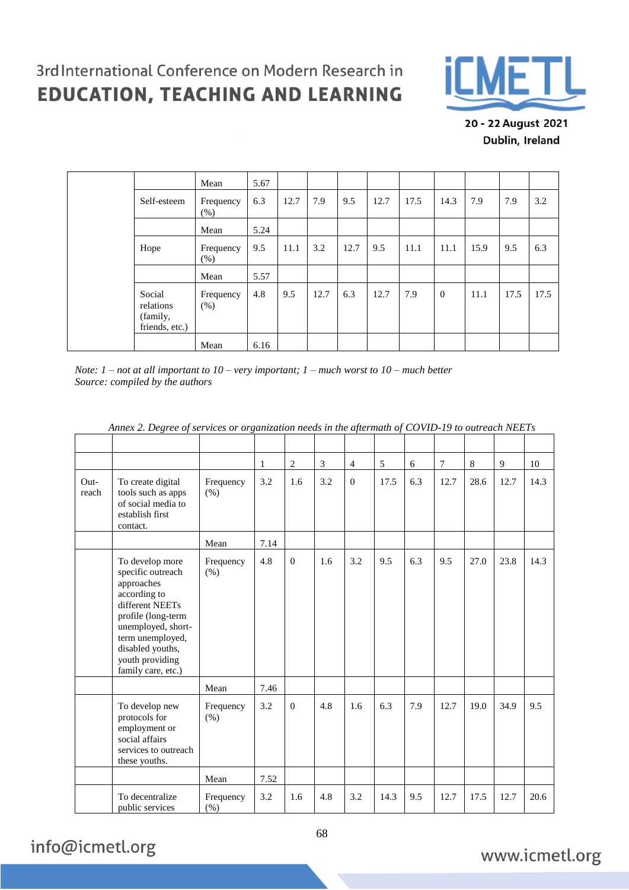$\overline{\mathcal{S}}$ 



20 - 22 August 2021 Dublin, Ireland

|  |                                                   | Mean              | 5.67 |      |      |      |      |      |          |      |      |      |
|--|---------------------------------------------------|-------------------|------|------|------|------|------|------|----------|------|------|------|
|  | Self-esteem                                       | Frequency<br>(% ) | 6.3  | 12.7 | 7.9  | 9.5  | 12.7 | 17.5 | 14.3     | 7.9  | 7.9  | 3.2  |
|  |                                                   | Mean              | 5.24 |      |      |      |      |      |          |      |      |      |
|  | Hope                                              | Frequency<br>(% ) | 9.5  | 11.1 | 3.2  | 12.7 | 9.5  | 11.1 | 11.1     | 15.9 | 9.5  | 6.3  |
|  |                                                   | Mean              | 5.57 |      |      |      |      |      |          |      |      |      |
|  | Social<br>relations<br>(family,<br>friends, etc.) | Frequency<br>(% ) | 4.8  | 9.5  | 12.7 | 6.3  | 12.7 | 7.9  | $\theta$ | 11.1 | 17.5 | 17.5 |
|  |                                                   | Mean              | 6.16 |      |      |      |      |      |          |      |      |      |

*Note: 1 – not at all important to 10 – very important; 1 – much worst to 10 – much better Source: compiled by the authors*

|               |                                                                                                                                                                                                                    |                      | 1    | 2              | 3   | $\overline{4}$ | 5    | 6   | 7    | 8    | 9    | 10   |
|---------------|--------------------------------------------------------------------------------------------------------------------------------------------------------------------------------------------------------------------|----------------------|------|----------------|-----|----------------|------|-----|------|------|------|------|
| Out-<br>reach | To create digital<br>tools such as apps<br>of social media to<br>establish first<br>contact.                                                                                                                       | Frequency<br>(% )    | 3.2  | 1.6            | 3.2 | $\Omega$       | 17.5 | 6.3 | 12.7 | 28.6 | 12.7 | 14.3 |
|               |                                                                                                                                                                                                                    | Mean                 | 7.14 |                |     |                |      |     |      |      |      |      |
|               | To develop more<br>specific outreach<br>approaches<br>according to<br>different NEETs<br>profile (long-term<br>unemployed, short-<br>term unemployed,<br>disabled youths,<br>youth providing<br>family care, etc.) | Frequency<br>(% )    | 4.8  | $\overline{0}$ | 1.6 | 3.2            | 9.5  | 6.3 | 9.5  | 27.0 | 23.8 | 14.3 |
|               |                                                                                                                                                                                                                    | Mean                 | 7.46 |                |     |                |      |     |      |      |      |      |
|               | To develop new<br>protocols for<br>employment or<br>social affairs<br>services to outreach<br>these youths.                                                                                                        | Frequency<br>(% )    | 3.2  | $\theta$       | 4.8 | 1.6            | 6.3  | 7.9 | 12.7 | 19.0 | 34.9 | 9.5  |
|               |                                                                                                                                                                                                                    | Mean                 | 7.52 |                |     |                |      |     |      |      |      |      |
|               | To decentralize<br>public services                                                                                                                                                                                 | Frequency<br>$(\% )$ | 3.2  | 1.6            | 4.8 | 3.2            | 14.3 | 9.5 | 12.7 | 17.5 | 12.7 | 20.6 |

*Annex 2. Degree of services or organization needs in the aftermath of COVID-19 to outreach NEETs*

## info@icmetl.org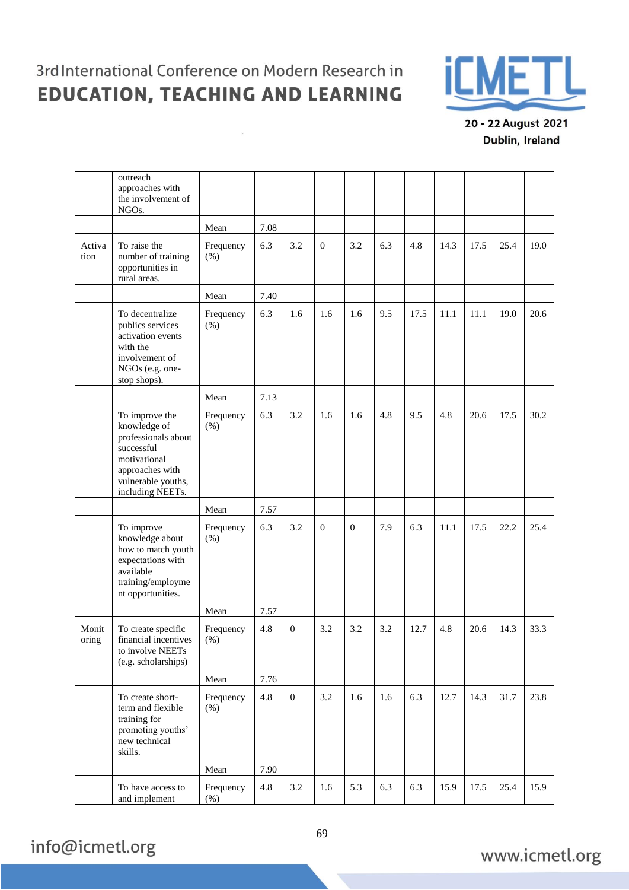$\overline{\mathcal{R}}$ 



20 - 22 August 2021 Dublin, Ireland

|                | outreach<br>approaches with<br>the involvement of<br>NGO <sub>s</sub> .                                                                          |                      |      |              |                |              |     |      |      |      |      |      |
|----------------|--------------------------------------------------------------------------------------------------------------------------------------------------|----------------------|------|--------------|----------------|--------------|-----|------|------|------|------|------|
|                |                                                                                                                                                  | Mean                 | 7.08 |              |                |              |     |      |      |      |      |      |
| Activa<br>tion | To raise the<br>number of training<br>opportunities in<br>rural areas.                                                                           | Frequency<br>(% )    | 6.3  | 3.2          | $\mathbf{0}$   | 3.2          | 6.3 | 4.8  | 14.3 | 17.5 | 25.4 | 19.0 |
|                |                                                                                                                                                  | Mean                 | 7.40 |              |                |              |     |      |      |      |      |      |
|                | To decentralize<br>publics services<br>activation events<br>with the<br>involvement of<br>NGOs (e.g. one-<br>stop shops).                        | Frequency<br>(% )    | 6.3  | 1.6          | 1.6            | 1.6          | 9.5 | 17.5 | 11.1 | 11.1 | 19.0 | 20.6 |
|                |                                                                                                                                                  | Mean                 | 7.13 |              |                |              |     |      |      |      |      |      |
|                | To improve the<br>knowledge of<br>professionals about<br>successful<br>motivational<br>approaches with<br>vulnerable youths,<br>including NEETs. | Frequency<br>(% )    | 6.3  | 3.2          | 1.6            | 1.6          | 4.8 | 9.5  | 4.8  | 20.6 | 17.5 | 30.2 |
|                |                                                                                                                                                  | Mean                 | 7.57 |              |                |              |     |      |      |      |      |      |
|                | To improve<br>knowledge about<br>how to match youth<br>expectations with<br>available<br>training/employme<br>nt opportunities.                  | Frequency<br>(% )    | 6.3  | 3.2          | $\overline{0}$ | $\mathbf{0}$ | 7.9 | 6.3  | 11.1 | 17.5 | 22.2 | 25.4 |
|                |                                                                                                                                                  | Mean                 | 7.57 |              |                |              |     |      |      |      |      |      |
| Monit<br>oring | To create specific<br>financial incentives<br>to involve NEETs<br>(e.g. scholarships)                                                            | Frequency<br>$(\% )$ | 4.8  | $\mathbf{0}$ | 3.2            | 3.2          | 3.2 | 12.7 | 4.8  | 20.6 | 14.3 | 33.3 |
|                |                                                                                                                                                  | Mean                 | 7.76 |              |                |              |     |      |      |      |      |      |
|                | To create short-<br>term and flexible<br>training for<br>promoting youths'<br>new technical<br>skills.                                           | Frequency<br>$(\%)$  | 4.8  | $\mathbf{0}$ | 3.2            | 1.6          | 1.6 | 6.3  | 12.7 | 14.3 | 31.7 | 23.8 |
|                |                                                                                                                                                  | ${\bf Mean}$         | 7.90 |              |                |              |     |      |      |      |      |      |
|                | To have access to<br>and implement                                                                                                               | Frequency<br>$(\%)$  | 4.8  | 3.2          | 1.6            | 5.3          | 6.3 | 6.3  | 15.9 | 17.5 | 25.4 | 15.9 |

info@icmetl.org